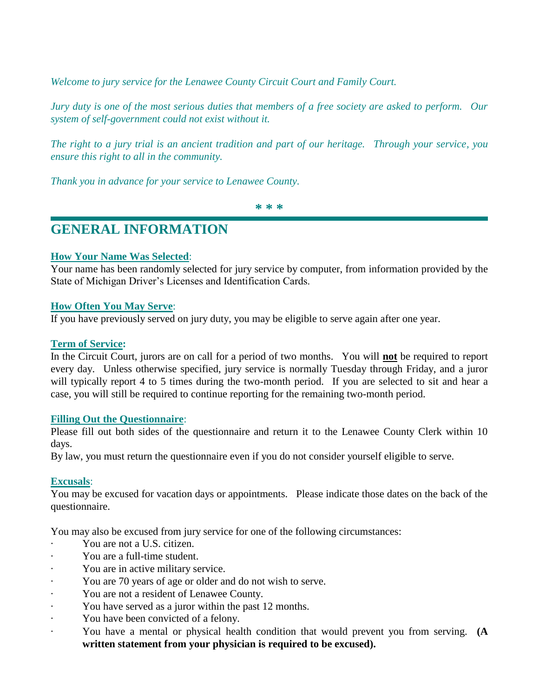*Welcome to jury service for the Lenawee County Circuit Court and Family Court.*

*Jury duty is one of the most serious duties that members of a free society are asked to perform. Our system of self-government could not exist without it.* 

*The right to a jury trial is an ancient tradition and part of our heritage. Through your service, you ensure this right to all in the community.*

*Thank you in advance for your service to Lenawee County.*

**\* \* \***

# **GENERAL INFORMATION**

## **How Your Name Was Selected**:

Your name has been randomly selected for jury service by computer, from information provided by the State of Michigan Driver's Licenses and Identification Cards.

## **How Often You May Serve**:

If you have previously served on jury duty, you may be eligible to serve again after one year.

## **Term of Service:**

In the Circuit Court, jurors are on call for a period of two months. You will **not** be required to report every day. Unless otherwise specified, jury service is normally Tuesday through Friday, and a juror will typically report 4 to 5 times during the two-month period. If you are selected to sit and hear a case, you will still be required to continue reporting for the remaining two-month period.

#### **Filling Out the Questionnaire**:

Please fill out both sides of the questionnaire and return it to the Lenawee County Clerk within 10 days.

By law, you must return the questionnaire even if you do not consider yourself eligible to serve.

## **Excusals**:

You may be excused for vacation days or appointments. Please indicate those dates on the back of the questionnaire.

You may also be excused from jury service for one of the following circumstances:

- · You are not a U.S. citizen.
- You are a full-time student.
- · You are in active military service.
- You are 70 years of age or older and do not wish to serve.
- You are not a resident of Lenawee County.
- You have served as a juror within the past 12 months.
- · You have been convicted of a felony.
- · You have a mental or physical health condition that would prevent you from serving. **(A written statement from your physician is required to be excused).**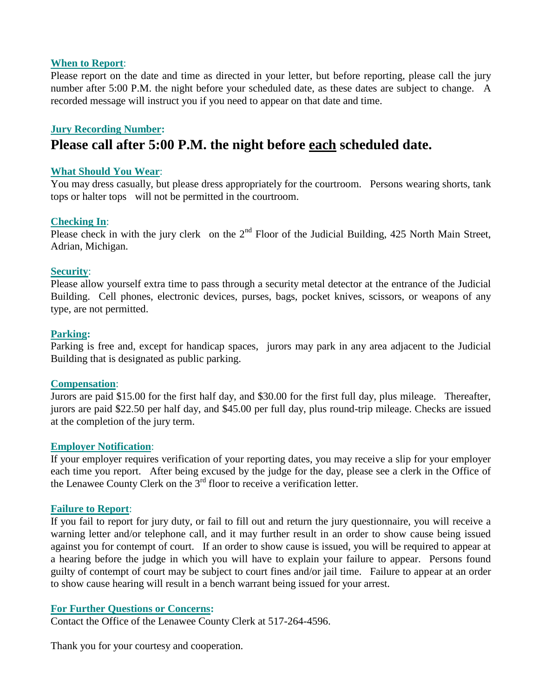#### **When to Report**:

Please report on the date and time as directed in your letter, but before reporting, please call the jury number after 5:00 P.M. the night before your scheduled date, as these dates are subject to change.A recorded message will instruct you if you need to appear on that date and time.

## **Jury Recording Number: Please call after 5:00 P.M. the night before each scheduled date.**

#### **What Should You Wear**:

You may dress casually, but please dress appropriately for the courtroom. Persons wearing shorts, tank tops or halter tops will not be permitted in the courtroom.

#### **Checking In**:

Please check in with the jury clerk on the  $2<sup>nd</sup>$  Floor of the Judicial Building, 425 North Main Street, Adrian, Michigan.

#### **Security**:

Please allow yourself extra time to pass through a security metal detector at the entrance of the Judicial Building. Cell phones, electronic devices, purses, bags, pocket knives, scissors, or weapons of any type, are not permitted.

#### **Parking:**

Parking is free and, except for handicap spaces, jurors may park in any area adjacent to the Judicial Building that is designated as public parking.

#### **Compensation**:

Jurors are paid \$15.00 for the first half day, and \$30.00 for the first full day, plus mileage. Thereafter, jurors are paid \$22.50 per half day, and \$45.00 per full day, plus round-trip mileage. Checks are issued at the completion of the jury term.

#### **Employer Notification**:

If your employer requires verification of your reporting dates, you may receive a slip for your employer each time you report. After being excused by the judge for the day, please see a clerk in the Office of the Lenawee County Clerk on the 3rd floor to receive a verification letter.

#### **Failure to Report**:

If you fail to report for jury duty, or fail to fill out and return the jury questionnaire, you will receive a warning letter and/or telephone call, and it may further result in an order to show cause being issued against you for contempt of court. If an order to show cause is issued, you will be required to appear at a hearing before the judge in which you will have to explain your failure to appear. Persons found guilty of contempt of court may be subject to court fines and/or jail time. Failure to appear at an order to show cause hearing will result in a bench warrant being issued for your arrest.

#### **For Further Questions or Concerns:**

Contact the Office of the Lenawee County Clerk at 517-264-4596.

Thank you for your courtesy and cooperation.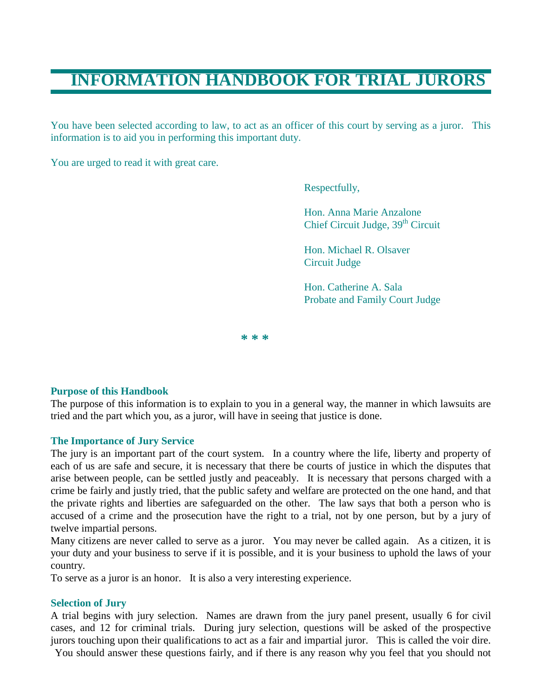# **INFORMATION HANDBOOK FOR TRIAL JURORS**

You have been selected according to law, to act as an officer of this court by serving as a juror. This information is to aid you in performing this important duty.

You are urged to read it with great care.

Respectfully,

Hon. Anna Marie Anzalone Chief Circuit Judge, 39<sup>th</sup> Circuit

Hon. Michael R. Olsaver Circuit Judge

Hon. Catherine A. Sala Probate and Family Court Judge

**\* \* \***

#### **Purpose of this Handbook**

The purpose of this information is to explain to you in a general way, the manner in which lawsuits are tried and the part which you, as a juror, will have in seeing that justice is done.

#### **The Importance of Jury Service**

The jury is an important part of the court system. In a country where the life, liberty and property of each of us are safe and secure, it is necessary that there be courts of justice in which the disputes that arise between people, can be settled justly and peaceably. It is necessary that persons charged with a crime be fairly and justly tried, that the public safety and welfare are protected on the one hand, and that the private rights and liberties are safeguarded on the other. The law says that both a person who is accused of a crime and the prosecution have the right to a trial, not by one person, but by a jury of twelve impartial persons.

Many citizens are never called to serve as a juror. You may never be called again. As a citizen, it is your duty and your business to serve if it is possible, and it is your business to uphold the laws of your country.

To serve as a juror is an honor. It is also a very interesting experience.

#### **Selection of Jury**

A trial begins with jury selection. Names are drawn from the jury panel present, usually 6 for civil cases, and 12 for criminal trials. During jury selection, questions will be asked of the prospective jurors touching upon their qualifications to act as a fair and impartial juror. This is called the voir dire.

You should answer these questions fairly, and if there is any reason why you feel that you should not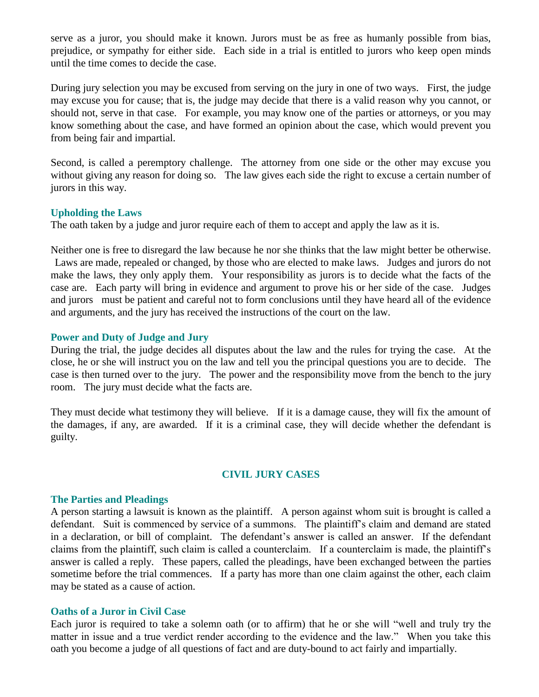serve as a juror, you should make it known. Jurors must be as free as humanly possible from bias, prejudice, or sympathy for either side. Each side in a trial is entitled to jurors who keep open minds until the time comes to decide the case.

During jury selection you may be excused from serving on the jury in one of two ways. First, the judge may excuse you for cause; that is, the judge may decide that there is a valid reason why you cannot, or should not, serve in that case. For example, you may know one of the parties or attorneys, or you may know something about the case, and have formed an opinion about the case, which would prevent you from being fair and impartial.

Second, is called a peremptory challenge. The attorney from one side or the other may excuse you without giving any reason for doing so. The law gives each side the right to excuse a certain number of jurors in this way.

#### **Upholding the Laws**

The oath taken by a judge and juror require each of them to accept and apply the law as it is.

Neither one is free to disregard the law because he nor she thinks that the law might better be otherwise. Laws are made, repealed or changed, by those who are elected to make laws. Judges and jurors do not make the laws, they only apply them. Your responsibility as jurors is to decide what the facts of the case are. Each party will bring in evidence and argument to prove his or her side of the case. Judges and jurors must be patient and careful not to form conclusions until they have heard all of the evidence and arguments, and the jury has received the instructions of the court on the law.

#### **Power and Duty of Judge and Jury**

During the trial, the judge decides all disputes about the law and the rules for trying the case. At the close, he or she will instruct you on the law and tell you the principal questions you are to decide. The case is then turned over to the jury. The power and the responsibility move from the bench to the jury room. The jury must decide what the facts are.

They must decide what testimony they will believe. If it is a damage cause, they will fix the amount of the damages, if any, are awarded. If it is a criminal case, they will decide whether the defendant is guilty.

#### **CIVIL JURY CASES**

#### **The Parties and Pleadings**

A person starting a lawsuit is known as the plaintiff. A person against whom suit is brought is called a defendant. Suit is commenced by service of a summons. The plaintiff's claim and demand are stated in a declaration, or bill of complaint. The defendant's answer is called an answer. If the defendant claims from the plaintiff, such claim is called a counterclaim. If a counterclaim is made, the plaintiff's answer is called a reply. These papers, called the pleadings, have been exchanged between the parties sometime before the trial commences. If a party has more than one claim against the other, each claim may be stated as a cause of action.

## **Oaths of a Juror in Civil Case**

Each juror is required to take a solemn oath (or to affirm) that he or she will "well and truly try the matter in issue and a true verdict render according to the evidence and the law." When you take this oath you become a judge of all questions of fact and are duty-bound to act fairly and impartially.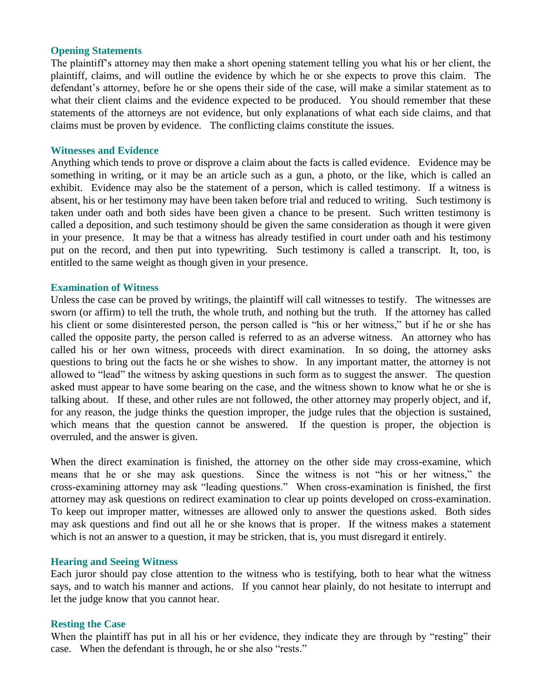#### **Opening Statements**

The plaintiff's attorney may then make a short opening statement telling you what his or her client, the plaintiff, claims, and will outline the evidence by which he or she expects to prove this claim. The defendant's attorney, before he or she opens their side of the case, will make a similar statement as to what their client claims and the evidence expected to be produced. You should remember that these statements of the attorneys are not evidence, but only explanations of what each side claims, and that claims must be proven by evidence. The conflicting claims constitute the issues.

#### **Witnesses and Evidence**

Anything which tends to prove or disprove a claim about the facts is called evidence. Evidence may be something in writing, or it may be an article such as a gun, a photo, or the like, which is called an exhibit. Evidence may also be the statement of a person, which is called testimony. If a witness is absent, his or her testimony may have been taken before trial and reduced to writing. Such testimony is taken under oath and both sides have been given a chance to be present. Such written testimony is called a deposition, and such testimony should be given the same consideration as though it were given in your presence. It may be that a witness has already testified in court under oath and his testimony put on the record, and then put into typewriting. Such testimony is called a transcript. It, too, is entitled to the same weight as though given in your presence.

#### **Examination of Witness**

Unless the case can be proved by writings, the plaintiff will call witnesses to testify. The witnesses are sworn (or affirm) to tell the truth, the whole truth, and nothing but the truth. If the attorney has called his client or some disinterested person, the person called is "his or her witness," but if he or she has called the opposite party, the person called is referred to as an adverse witness. An attorney who has called his or her own witness, proceeds with direct examination. In so doing, the attorney asks questions to bring out the facts he or she wishes to show. In any important matter, the attorney is not allowed to "lead" the witness by asking questions in such form as to suggest the answer. The question asked must appear to have some bearing on the case, and the witness shown to know what he or she is talking about. If these, and other rules are not followed, the other attorney may properly object, and if, for any reason, the judge thinks the question improper, the judge rules that the objection is sustained, which means that the question cannot be answered. If the question is proper, the objection is overruled, and the answer is given.

When the direct examination is finished, the attorney on the other side may cross-examine, which means that he or she may ask questions. Since the witness is not "his or her witness," the cross-examining attorney may ask "leading questions." When cross-examination is finished, the first attorney may ask questions on redirect examination to clear up points developed on cross-examination. To keep out improper matter, witnesses are allowed only to answer the questions asked. Both sides may ask questions and find out all he or she knows that is proper. If the witness makes a statement which is not an answer to a question, it may be stricken, that is, you must disregard it entirely.

#### **Hearing and Seeing Witness**

Each juror should pay close attention to the witness who is testifying, both to hear what the witness says, and to watch his manner and actions. If you cannot hear plainly, do not hesitate to interrupt and let the judge know that you cannot hear.

#### **Resting the Case**

When the plaintiff has put in all his or her evidence, they indicate they are through by "resting" their case. When the defendant is through, he or she also "rests."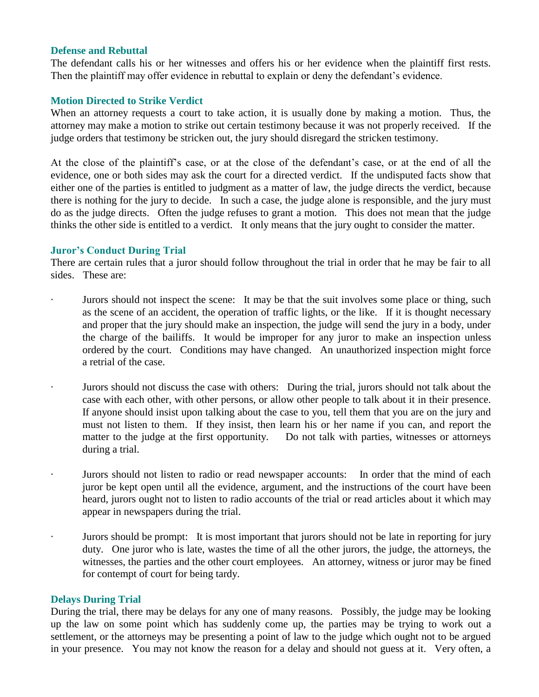#### **Defense and Rebuttal**

The defendant calls his or her witnesses and offers his or her evidence when the plaintiff first rests. Then the plaintiff may offer evidence in rebuttal to explain or deny the defendant's evidence.

#### **Motion Directed to Strike Verdict**

When an attorney requests a court to take action, it is usually done by making a motion. Thus, the attorney may make a motion to strike out certain testimony because it was not properly received. If the judge orders that testimony be stricken out, the jury should disregard the stricken testimony.

At the close of the plaintiff's case, or at the close of the defendant's case, or at the end of all the evidence, one or both sides may ask the court for a directed verdict. If the undisputed facts show that either one of the parties is entitled to judgment as a matter of law, the judge directs the verdict, because there is nothing for the jury to decide. In such a case, the judge alone is responsible, and the jury must do as the judge directs. Often the judge refuses to grant a motion. This does not mean that the judge thinks the other side is entitled to a verdict. It only means that the jury ought to consider the matter.

#### **Juror's Conduct During Trial**

There are certain rules that a juror should follow throughout the trial in order that he may be fair to all sides. These are:

- Jurors should not inspect the scene: It may be that the suit involves some place or thing, such as the scene of an accident, the operation of traffic lights, or the like. If it is thought necessary and proper that the jury should make an inspection, the judge will send the jury in a body, under the charge of the bailiffs. It would be improper for any juror to make an inspection unless ordered by the court. Conditions may have changed. An unauthorized inspection might force a retrial of the case.
- · Jurors should not discuss the case with others: During the trial, jurors should not talk about the case with each other, with other persons, or allow other people to talk about it in their presence. If anyone should insist upon talking about the case to you, tell them that you are on the jury and must not listen to them. If they insist, then learn his or her name if you can, and report the matter to the judge at the first opportunity. Do not talk with parties, witnesses or attorneys during a trial.
- Jurors should not listen to radio or read newspaper accounts: In order that the mind of each juror be kept open until all the evidence, argument, and the instructions of the court have been heard, jurors ought not to listen to radio accounts of the trial or read articles about it which may appear in newspapers during the trial.
- Jurors should be prompt: It is most important that jurors should not be late in reporting for jury duty. One juror who is late, wastes the time of all the other jurors, the judge, the attorneys, the witnesses, the parties and the other court employees. An attorney, witness or juror may be fined for contempt of court for being tardy.

#### **Delays During Trial**

During the trial, there may be delays for any one of many reasons. Possibly, the judge may be looking up the law on some point which has suddenly come up, the parties may be trying to work out a settlement, or the attorneys may be presenting a point of law to the judge which ought not to be argued in your presence. You may not know the reason for a delay and should not guess at it. Very often, a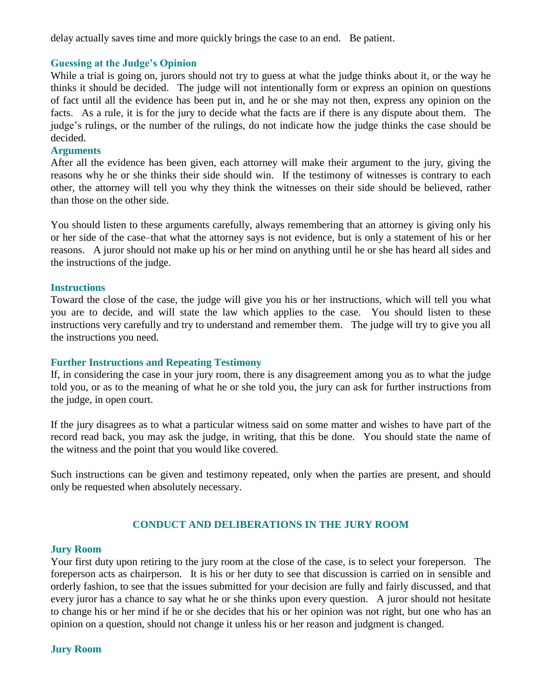delay actually saves time and more quickly brings the case to an end. Be patient.

#### **Guessing at the Judge's Opinion**

While a trial is going on, jurors should not try to guess at what the judge thinks about it, or the way he thinks it should be decided. The judge will not intentionally form or express an opinion on questions of fact until all the evidence has been put in, and he or she may not then, express any opinion on the facts. As a rule, it is for the jury to decide what the facts are if there is any dispute about them. The judge's rulings, or the number of the rulings, do not indicate how the judge thinks the case should be decided.

#### **Arguments**

After all the evidence has been given, each attorney will make their argument to the jury, giving the reasons why he or she thinks their side should win. If the testimony of witnesses is contrary to each other, the attorney will tell you why they think the witnesses on their side should be believed, rather than those on the other side.

You should listen to these arguments carefully, always remembering that an attorney is giving only his or her side of the case–that what the attorney says is not evidence, but is only a statement of his or her reasons. A juror should not make up his or her mind on anything until he or she has heard all sides and the instructions of the judge.

#### **Instructions**

Toward the close of the case, the judge will give you his or her instructions, which will tell you what you are to decide, and will state the law which applies to the case. You should listen to these instructions very carefully and try to understand and remember them. The judge will try to give you all the instructions you need.

#### **Further Instructions and Repeating Testimony**

If, in considering the case in your jury room, there is any disagreement among you as to what the judge told you, or as to the meaning of what he or she told you, the jury can ask for further instructions from the judge, in open court.

If the jury disagrees as to what a particular witness said on some matter and wishes to have part of the record read back, you may ask the judge, in writing, that this be done. You should state the name of the witness and the point that you would like covered.

Such instructions can be given and testimony repeated, only when the parties are present, and should only be requested when absolutely necessary.

## **CONDUCT AND DELIBERATIONS IN THE JURY ROOM**

#### **Jury Room**

Your first duty upon retiring to the jury room at the close of the case, is to select your foreperson. The foreperson acts as chairperson. It is his or her duty to see that discussion is carried on in sensible and orderly fashion, to see that the issues submitted for your decision are fully and fairly discussed, and that every juror has a chance to say what he or she thinks upon every question. A juror should not hesitate to change his or her mind if he or she decides that his or her opinion was not right, but one who has an opinion on a question, should not change it unless his or her reason and judgment is changed.

#### **Jury Room**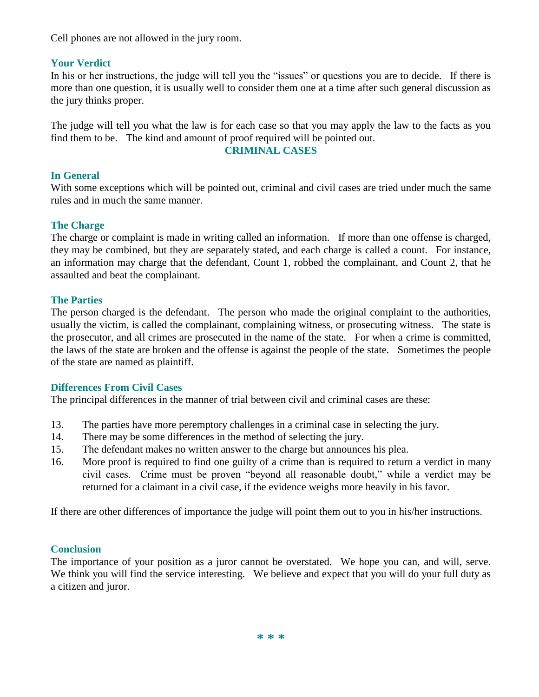Cell phones are not allowed in the jury room.

## **Your Verdict**

In his or her instructions, the judge will tell you the "issues" or questions you are to decide. If there is more than one question, it is usually well to consider them one at a time after such general discussion as the jury thinks proper.

The judge will tell you what the law is for each case so that you may apply the law to the facts as you find them to be. The kind and amount of proof required will be pointed out.

## **CRIMINAL CASES**

## **In General**

With some exceptions which will be pointed out, criminal and civil cases are tried under much the same rules and in much the same manner.

## **The Charge**

The charge or complaint is made in writing called an information. If more than one offense is charged, they may be combined, but they are separately stated, and each charge is called a count. For instance, an information may charge that the defendant, Count 1, robbed the complainant, and Count 2, that he assaulted and beat the complainant.

## **The Parties**

The person charged is the defendant. The person who made the original complaint to the authorities, usually the victim, is called the complainant, complaining witness, or prosecuting witness. The state is the prosecutor, and all crimes are prosecuted in the name of the state. For when a crime is committed, the laws of the state are broken and the offense is against the people of the state. Sometimes the people of the state are named as plaintiff.

## **Differences From Civil Cases**

The principal differences in the manner of trial between civil and criminal cases are these:

- 13. The parties have more peremptory challenges in a criminal case in selecting the jury.
- 14. There may be some differences in the method of selecting the jury.
- 15. The defendant makes no written answer to the charge but announces his plea.
- 16. More proof is required to find one guilty of a crime than is required to return a verdict in many civil cases. Crime must be proven "beyond all reasonable doubt," while a verdict may be returned for a claimant in a civil case, if the evidence weighs more heavily in his favor.

If there are other differences of importance the judge will point them out to you in his/her instructions.

## **Conclusion**

The importance of your position as a juror cannot be overstated. We hope you can, and will, serve. We think you will find the service interesting. We believe and expect that you will do your full duty as a citizen and juror.